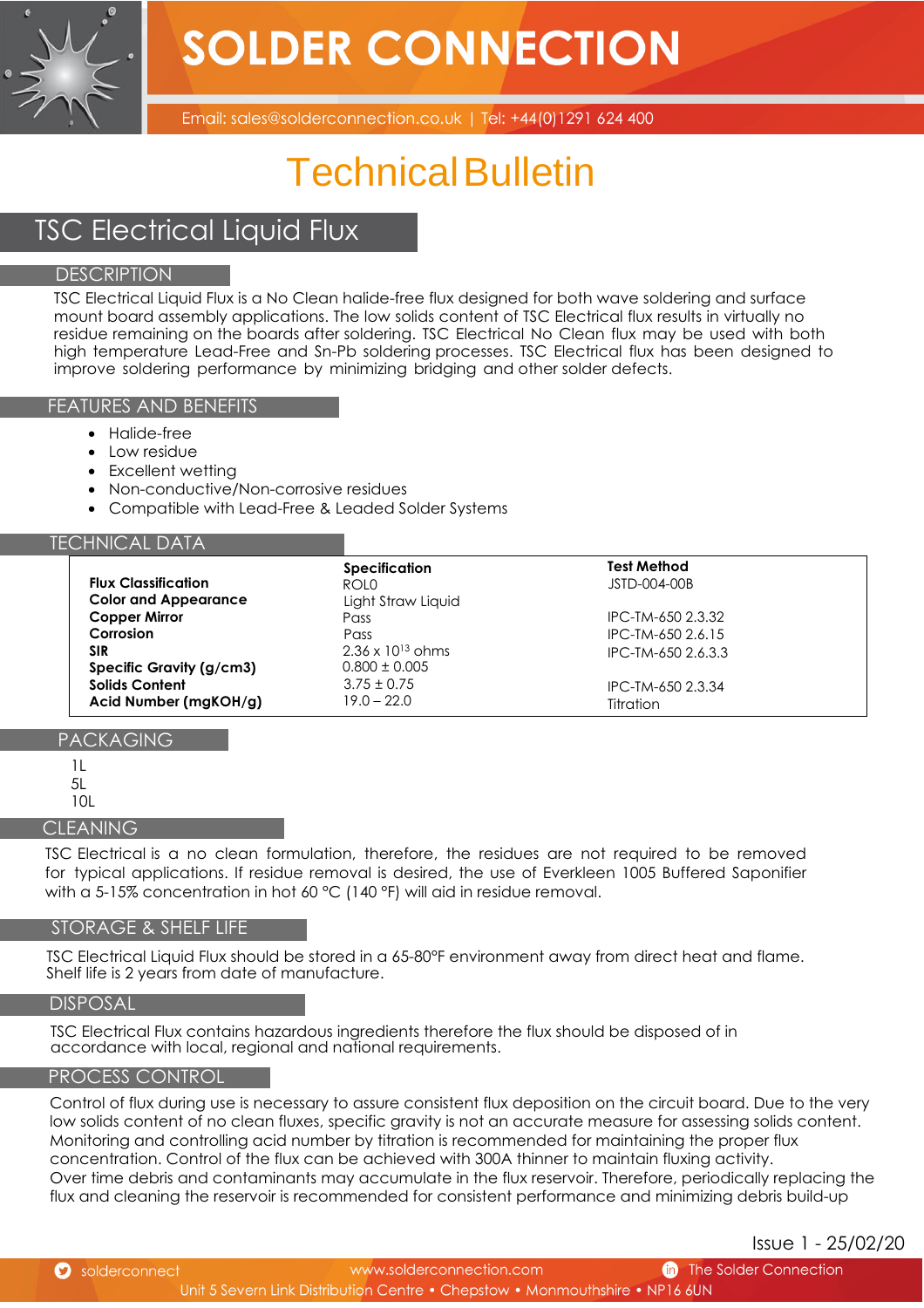**SOLDER CONNECTION** 



Email: sales@solderconnection.co.uk | Tel: +44(0)1291 624 400

# Technical Bulletin

# TSC Electrical Liquid Flux

## **DESCRIPTION**

TSC Electrical Liquid Flux is a No Clean halide-free flux designed for both wave soldering and surface mount board assembly applications. The low solids content of TSC Electrical flux results in virtually no residue remaining on the boards after soldering. TSC Electrical No Clean flux may be used with both high temperature Lead-Free and Sn-Pb soldering processes. TSC Electrical flux has been designed to improve soldering performance by minimizing bridging and other solder defects.

#### FEATURES AND BENEFITS

- Halide-free
- Low residue
- Excellent wetting
- Non-conductive/Non-corrosive residues
- Compatible with Lead-Free & Leaded Solder Systems

#### TECHNICAL DATA

|                             | <b>Specification</b>       | Test Method         |
|-----------------------------|----------------------------|---------------------|
| <b>Flux Classification</b>  | ROLO.                      | <b>JSTD-004-00B</b> |
| <b>Color and Appearance</b> | Light Straw Liquid         |                     |
| <b>Copper Mirror</b>        | Pass                       | IPC-TM-650 2.3.32   |
| Corrosion                   | Pass                       | IPC-TM-650 2.6.15   |
| SIR                         | $2.36 \times 10^{13}$ ohms | IPC-TM-650 2.6.3.3  |
| Specific Gravity (g/cm3)    | $0.800 \pm 0.005$          |                     |
| <b>Solids Content</b>       | $3.75 \pm 0.75$            | IPC-TM-650 2.3.34   |
| Acid Number (mgKOH/g)       | $19.0 - 22.0$              | Titration           |

# PACKAGING

- 1L
- 5L
- 10L

#### **CLEANING**

TSC Electrical is a no clean formulation, therefore, the residues are not required to be removed for typical applications. If residue removal is desired, the use of Everkleen 1005 Buffered Saponifier with a 5-15% concentration in hot 60 °C (140 °F) will aid in residue removal.

#### STORAGE & SHELF LIFE

TSC Electrical Liquid Flux should be stored in a 65-80°F environment away from direct heat and flame. Shelf life is 2 years from date of manufacture.

#### DISPOSAL

TSC Electrical Flux contains hazardous ingredients therefore the flux should be disposed of in accordance with local, regional and national requirements.

#### PROCESS CONTROL

Control of flux during use is necessary to assure consistent flux deposition on the circuit board. Due to the very low solids content of no clean fluxes, specific gravity is not an accurate measure for assessing solids content. Monitoring and controlling acid number by titration is recommended for maintaining the proper flux concentration. Control of the flux can be achieved with 300A thinner to maintain fluxing activity. Over time debris and contaminants may accumulate in the flux reservoir. Therefore, periodically replacing the flux and cleaning the reservoir is recommended for consistent performance and minimizing debris build-up

Issue 1 - 25/02/20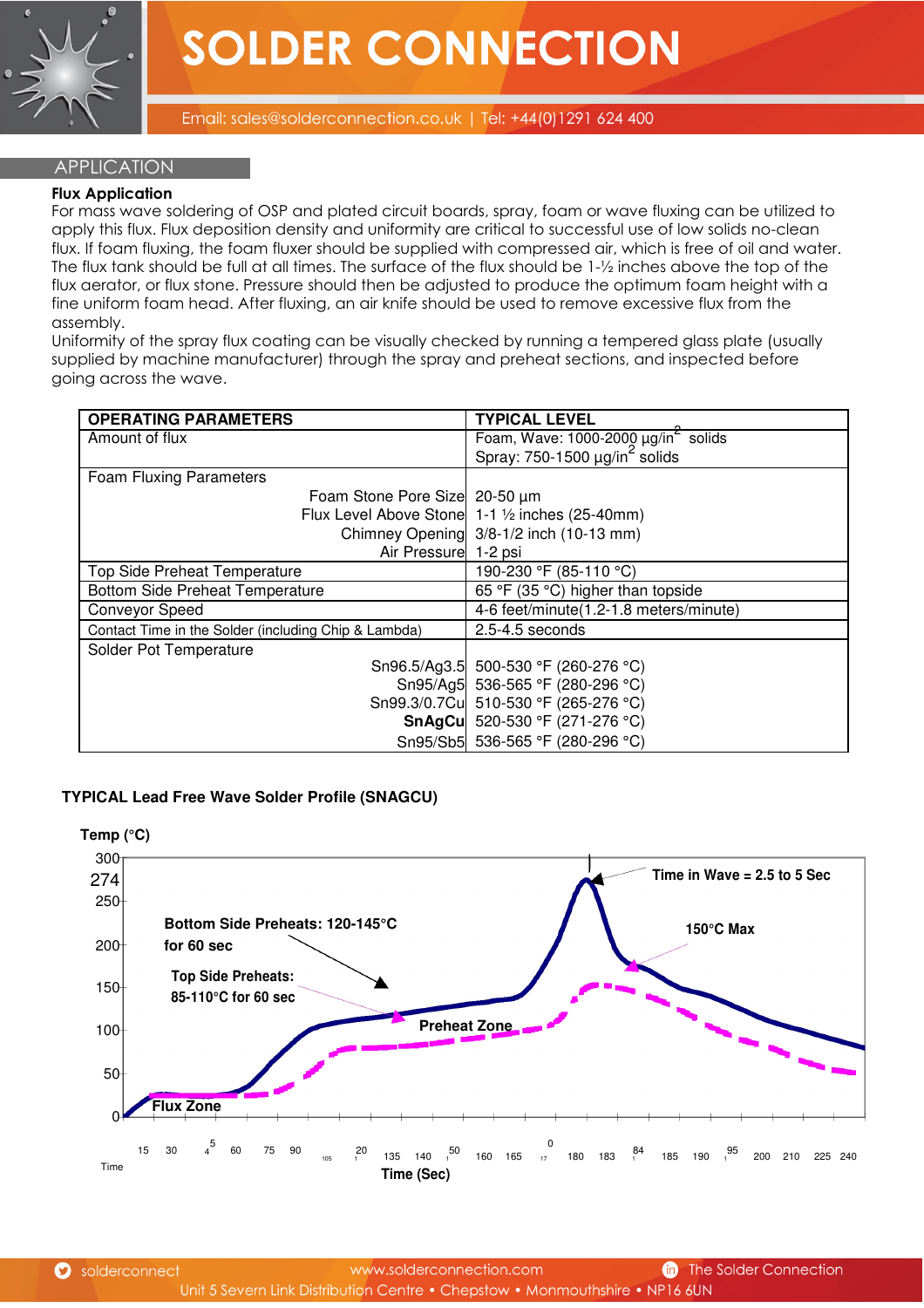

#### **APPLICATION**

#### **Flux Application**

For mass wave soldering of OSP and plated circuit boards, spray, foam or wave fluxing can be utilized to apply this flux. Flux deposition density and uniformity are critical to successful use of low solids no-clean flux. If foam fluxing, the foam fluxer should be supplied with compressed air, which is free of oil and water. The flux tank should be full at all times. The surface of the flux should be 1-½ inches above the top of the flux aerator, or flux stone. Pressure should then be adjusted to produce the optimum foam height with a fine uniform foam head. After fluxing, an air knife should be used to remove excessive flux from the assembly.

Uniformity of the spray flux coating can be visually checked by running a tempered glass plate (usually supplied by machine manufacturer) through the spray and preheat sections, and inspected before going across the wave.

| <b>OPERATING PARAMETERS</b>                          | <b>TYPICAL LEVEL</b>                                                                                   |
|------------------------------------------------------|--------------------------------------------------------------------------------------------------------|
| Amount of flux                                       |                                                                                                        |
|                                                      | Foam, Wave: 1000-2000 $\mu$ g/in <sup>2</sup> solids<br>Spray: 750-1500 $\mu$ g/in <sup>2</sup> solids |
| <b>Foam Fluxing Parameters</b>                       |                                                                                                        |
| Foam Stone Pore Size 20-50 µm                        |                                                                                                        |
|                                                      | Flux Level Above Stone 1-1 1/2 inches (25-40mm)                                                        |
|                                                      | Chimney Opening 3/8-1/2 inch (10-13 mm)                                                                |
| Air Pressure 1-2 psi                                 |                                                                                                        |
| Top Side Preheat Temperature                         | 190-230 °F (85-110 °C)                                                                                 |
| <b>Bottom Side Preheat Temperature</b>               | 65 °F (35 °C) higher than topside                                                                      |
| <b>Conveyor Speed</b>                                | 4-6 feet/minute(1.2-1.8 meters/minute)                                                                 |
| Contact Time in the Solder (including Chip & Lambda) | $2.5 - 4.5$ seconds                                                                                    |
| Solder Pot Temperature                               |                                                                                                        |
|                                                      | Sn96.5/Ag3.5 500-530 °F (260-276 °C)                                                                   |
|                                                      | Sn95/Ag5 536-565 °F (280-296 °C)                                                                       |
|                                                      | Sn99.3/0.7Cu 510-530 °F (265-276 °C)                                                                   |
|                                                      | SnAgCu 520-530 °F (271-276 °C)                                                                         |
|                                                      | Sn95/Sb5 536-565 °F (280-296 °C)                                                                       |

## **TYPICAL Lead Free Wave Solder Profile (SNAGCU)**